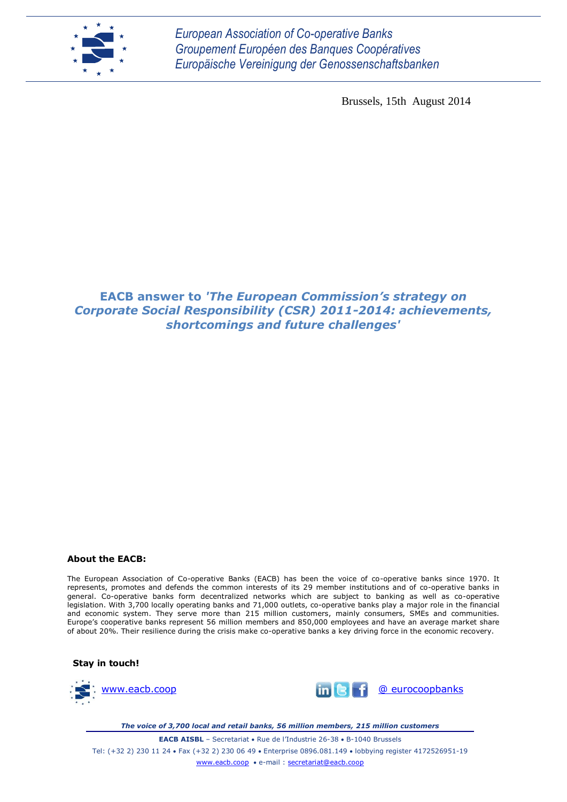

*European Association of Co-operative Banks Groupement Européen des Banques Coopératives Europäische Vereinigung der Genossenschaftsbanken*

Brussels, 15th August 2014

### **EACB answer to** *'The European Commission's strategy on Corporate Social Responsibility (CSR) 2011-2014: achievements, shortcomings and future challenges'*

#### **About the EACB:**

The European Association of Co-operative Banks (EACB) has been the voice of co-operative banks since 1970. It represents, promotes and defends the common interests of its 29 member institutions and of co-operative banks in general. Co-operative banks form decentralized networks which are subject to banking as well as co-operative legislation. With 3,700 locally operating banks and 71,000 outlets, co-operative banks play a major role in the financial and economic system. They serve more than 215 million customers, mainly consumers, SMEs and communities. Europe's cooperative banks represent 56 million members and 850,000 employees and have an average market share of about 20%. Their resilience during the crisis make co-operative banks a key driving force in the economic recovery.

**Stay in touch!**





*The voice of 3,700 local and retail banks, 56 million members, 215 million customers*

**EACB AISBL** – Secretariat • Rue de l'Industrie 26-38 • B-1040 Brussels Tel: (+32 2) 230 11 24 Fax (+32 2) 230 06 49 Enterprise 0896.081.149 lobbying register 4172526951-19 [www.eacb.coop](http://www.eacb.coop/) e-mail : [secretariat@eacb.coop](mailto:secretariat@eacb.coop)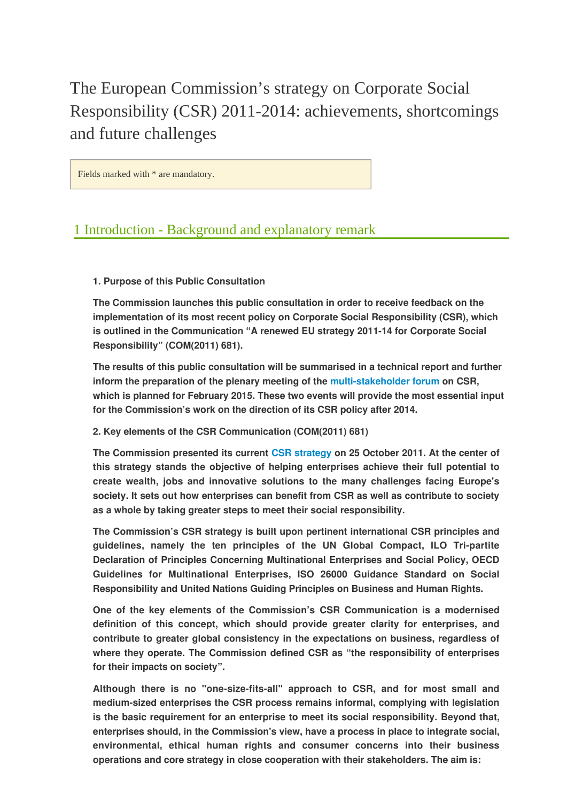The European Commission's strategy on Corporate Social Responsibility (CSR) 2011-2014: achievements, shortcomings and future challenges

Fields marked with \* are mandatory.

### 1 Introduction - Background and explanatory remark

### **1. Purpose of this Public Consultation**

**The Commission launches this public consultation in order to receive feedback on the implementation of its most recent policy on Corporate Social Responsibility (CSR), which is outlined in the Communication "A renewed EU strategy 2011-14 for Corporate Social Responsibility" (COM(2011) 681).**

**The results of this public consultation will be summarised in a technical report and further inform the preparation of the plenary meeting of the multi-stakeholder forum on CSR, which is planned for February 2015. These two events will provide the most essential input for the Commission's work on the direction of its CSR policy after 2014.**

### **2. Key elements of the CSR Communication (COM(2011) 681)**

**The Commission presented its current CSR strategy on 25 October 2011. At the center of this strategy stands the objective of helping enterprises achieve their full potential to create wealth, jobs and innovative solutions to the many challenges facing Europe's society. It sets out how enterprises can benefit from CSR as well as contribute to society as a whole by taking greater steps to meet their social responsibility.**

**The Commission's CSR strategy is built upon pertinent international CSR principles and guidelines, namely the ten principles of the UN Global Compact, ILO Tri-partite Declaration of Principles Concerning Multinational Enterprises and Social Policy, OECD Guidelines for Multinational Enterprises, ISO 26000 Guidance Standard on Social Responsibility and United Nations Guiding Principles on Business and Human Rights.**

**One of the key elements of the Commission's CSR Communication is a modernised definition of this concept, which should provide greater clarity for enterprises, and contribute to greater global consistency in the expectations on business, regardless of where they operate. The Commission defined CSR as "the responsibility of enterprises for their impacts on society".**

**Although there is no "one-size-fits-all" approach to CSR, and for most small and medium-sized enterprises the CSR process remains informal, complying with legislation is the basic requirement for an enterprise to meet its social responsibility. Beyond that, enterprises should, in the Commission's view, have a process in place to integrate social, environmental, ethical human rights and consumer concerns into their business operations and core strategy in close cooperation with their stakeholders. The aim is:**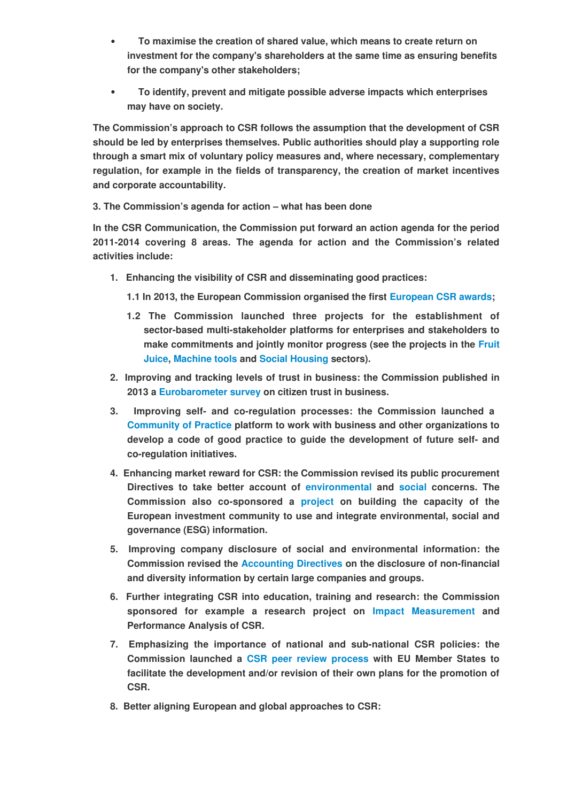- •€€€ **To maximise the creation of shared value, which means to create return on investment for the company's shareholders at the same time as ensuring benefits for the company's other stakeholders;**
- •€€€ **To identify, prevent and mitigate possible adverse impacts which enterprises may have on society.**

**The Commission's approach to CSR follows the assumption that the development of CSR should be led by enterprises themselves. Public authorities should play a supporting role through a smart mix of voluntary policy measures and, where necessary, complementary regulation, for example in the fields of transparency, the creation of market incentives and corporate accountability.**

### **3. The Commission's agenda for action – what has been done**

**In the CSR Communication, the Commission put forward an action agenda for the period 2011-2014 covering 8 areas. The agenda for action and the Commission's related activities include:**

- **1. Enhancing the visibility of CSR and disseminating good practices:**
	- **1.1 In 2013, the European Commission organised the first [European CSR awards;](http://www.europeancsrawards.eu/)**
	- **1.2 The Commission launched three projects for the establishment of sector-based multi-stakeholder platforms for enterprises and stakeholders to make commitments and jointly monitor progress (see the projects in the [Fruit](http://juicecsr.eu/) [Juice,](http://juicecsr.eu/) [Machine tools](http://www.csreurope.org/csr-and-sustainability-machine-tools-sector) and [Social Housing](http://www.responsiblehousing.eu/en/) sectors).**
- **2. Improving and tracking levels of trust in business: the Commission published in 2013 a Eurobarometer survey on citizen trust in business.**
- **3. Improving self- and co-regulation processes: the Commission launched a Community of Practice platform to work with business and other organizations to develop a code of good practice to guide the development of future self- and co-regulation initiatives.**
- **4. Enhancing market reward for CSR: the Commission revised its public procurement Directives to take better account of environmental and social concerns. The Commission also co-sponsored a project on building the capacity of the European investment community to use and integrate environmental, social and governance (ESG) information.**
- **5. Improving company disclosure of social and environmental information: the Commission revised the Accounting Directives on the disclosure of non-financial and diversity information by certain large companies and groups.**
- **6. Further integrating CSR into education, training and research: the Commission sponsored for example a research project on [Impact Measuremen](http://csr-impact.eu/documents.html)t and Performance Analysis of CSR.**
- **7. Emphasizing the importance of national and sub-national CSR policies: the Commission launched a CSR peer review process with EU Member States to facilitate the development and/or revision of their own plans for the promotion of CSR.**
- **8. Better aligning European and global approaches to CSR:**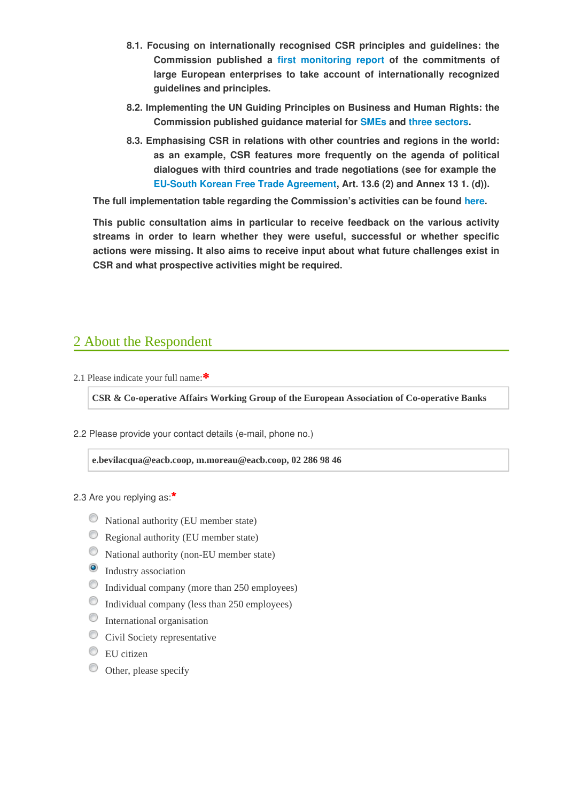- **8.1. Focusing on internationally recognised CSR principles and guidelines: the Commission published a first monitoring report of the commitments of large European enterprises to take account of internationally recognized guidelines and principles.**
- **8.2. Implementing the UN Guiding Principles on Business and Human Rights: the Commission published guidance material for [SMEs](http://bit.ly/ZP98GY) and three sectors.**
- **8.3. Emphasising CSR in relations with other countries and regions in the world: as an example, CSR features more frequently on the agenda of political dialogues with third countries and trade negotiations (see for example the [EU-South Korean Free Trade Agreement,](http://eur-lex.europa.eu/legal-content/EN/TXT/HTML/?uri=OJ:JOL_2011_127_R_0001_01&from=EN) Art. 13.6 (2) and Annex 13 1. (d)).**

**The full implementation table regarding the Commission's activities can be found here.**

**This public consultation aims in particular to receive feedback on the various activity streams in order to learn whether they were useful, successful or whether specific actions were missing. It also aims to receive input about what future challenges exist in CSR and what prospective activities might be required.**

# 2 About the Respondent

2.1 Please indicate your full name:**\***

**CSR & Co-operative Affairs Working Group of the European Association of Co-operative Banks**

2.2 Please provide your contact details (e-mail, phone no.)

**e.bevilacqua@eacb.coop, m.moreau@eacb.coop, 02 286 98 46**

2.3 Are you replying as:**\***

- National authority (EU member state)
- Regional authority (EU member state)
- National authority (non-EU member state)
- <sup>O</sup> Industry association
- Individual company (more than 250 employees)
- Individual company (less than 250 employees)
- **International organisation**
- Civil Society representative
- $\circledcirc$  EU citizen
- Other, please specify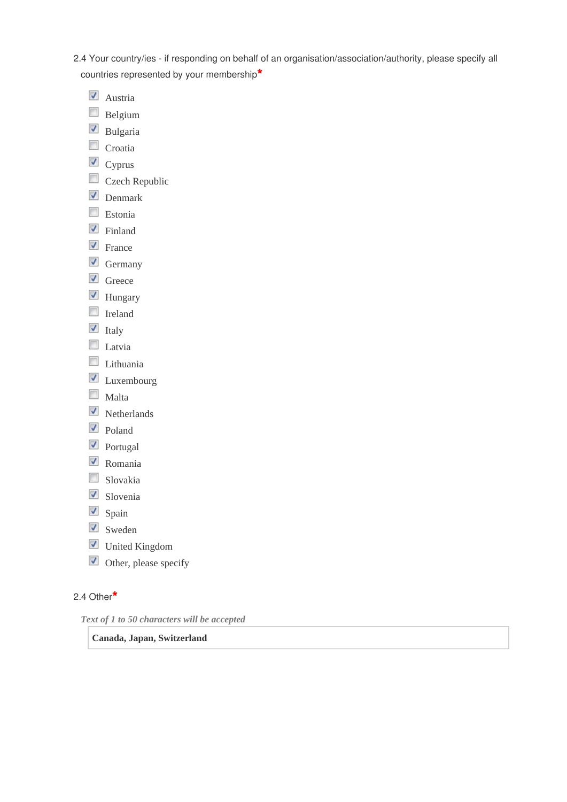2.4 Your country/ies - if responding on behalf of an organisation/association/authority, please specify all countries represented by your membership**\***

- **V** Austria
- **Belgium**
- Bulgaria
- $\Box$  Croatia
- $\Box$  Cyprus
- Czech Republic
- Denmark
- $\Box$  Estonia
- $\blacksquare$  Finland
- **V** France
- $\Box$  Germany
- Greece
- Hungary
- **I**reland
- $\blacksquare$ Italy
- **Latvia**
- $\Box$  Lithuania
- **V** Luxembourg
- $\Box$  Malta
- **V** Netherlands
- Doland
- **D** Portugal
- **V** Romania
- Slovakia
- Slovenia
- Spain
- Sweden
- **V** United Kingdom
- Other, please specify

### 2.4 Other**\***

*Text of 1 to 50 characters will be accepted* 

**Canada, Japan, Switzerland**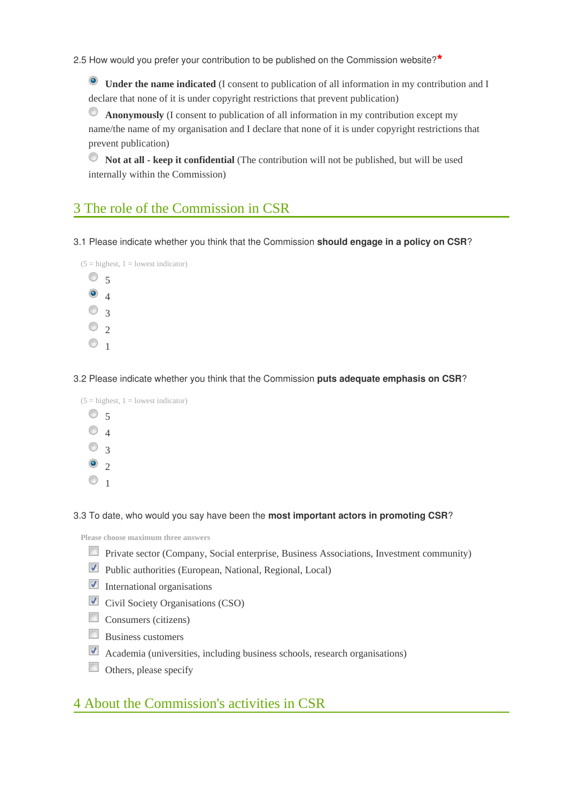2.5 How would you prefer your contribution to be published on the Commission website?**\***

**Under the name indicated** (I consent to publication of all information in my contribution and I declare that none of it is under copyright restrictions that prevent publication)

**Anonymously** (I consent to publication of all information in my contribution except my name/the name of my organisation and I declare that none of it is under copyright restrictions that prevent publication)

**Not at all - keep it confidential** (The contribution will not be published, but will be used O internally within the Commission)

## 3 The role of the Commission in CSR

3.1 Please indicate whether you think that the Commission **should engage in a policy on CSR**?



3.2 Please indicate whether you think that the Commission **puts adequate emphasis on CSR**?



3.3 To date, who would you say have been the **most important actors in promoting CSR**?

**Please choose maximum three answers**

- Private sector (Company, Social enterprise, Business Associations, Investment community)
- **Public authorities (European, National, Regional, Local)**
- $\blacksquare$  International organisations
- **Civil Society Organisations (CSO)**
- $\Box$  Consumers (citizens)
- $\Box$  Business customers
- Academia (universities, including business schools, research organisations)
- Others, please specify

### 4 About the Commission's activities in CSR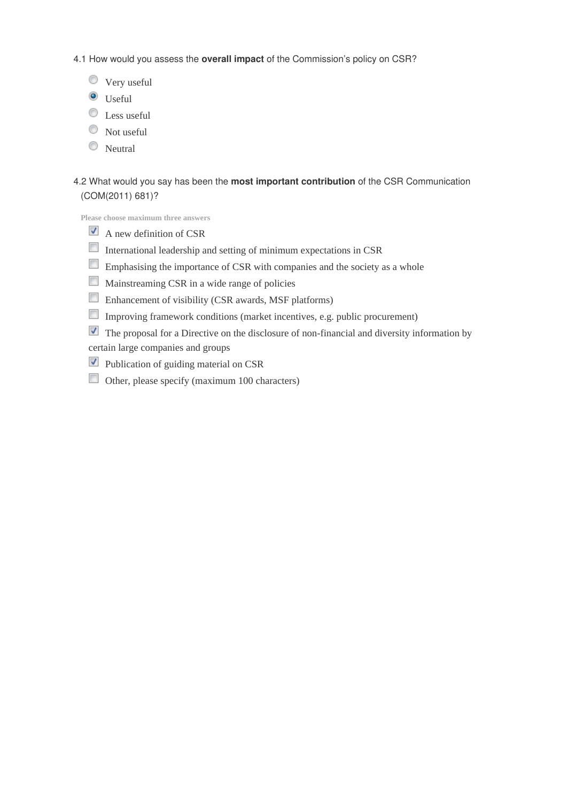4.1 How would you assess the **overall impact** of the Commission's policy on CSR?

- Very useful
- $\bullet$  Useful
- $\bullet$  Less useful
- $\circledcirc$  Not useful
- **Neutral**

### 4.2 What would you say has been the **most important contribution** of the CSR Communication (COM(2011) 681)?

**Please choose maximum three answers**

- $\blacksquare$  A new definition of CSR
- International leadership and setting of minimum expectations in CSR
- Emphasising the importance of CSR with companies and the society as a whole
- Mainstreaming CSR in a wide range of policies
- Enhancement of visibility (CSR awards, MSF platforms)
- Improving framework conditions (market incentives, e.g. public procurement)
- The proposal for a Directive on the disclosure of non-financial and diversity information by
- certain large companies and groups
- **Publication of guiding material on CSR**
- Other, please specify (maximum  $100$  characters)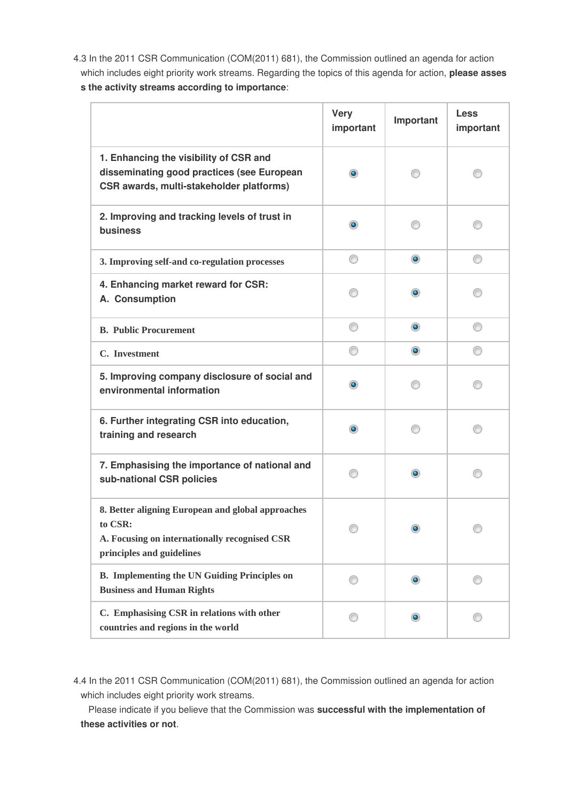4.3 In the 2011 CSR Communication (COM(2011) 681), the Commission outlined an agenda for action which includes eight priority work streams. Regarding the topics of this agenda for action, **please asses s the activity streams according to importance**:

|                                                                                                                                            | <b>Very</b><br>important | Important | <b>Less</b><br>important |
|--------------------------------------------------------------------------------------------------------------------------------------------|--------------------------|-----------|--------------------------|
| 1. Enhancing the visibility of CSR and<br>disseminating good practices (see European<br>CSR awards, multi-stakeholder platforms)           | $\bullet$                |           |                          |
| 2. Improving and tracking levels of trust in<br>business                                                                                   | $\bullet$                | 60        |                          |
| 3. Improving self-and co-regulation processes                                                                                              | ⊙                        | $\bullet$ | ⊙                        |
| 4. Enhancing market reward for CSR:<br>A. Consumption                                                                                      |                          | $\bullet$ |                          |
| <b>B. Public Procurement</b>                                                                                                               | ⊙                        | $\bullet$ | ⊙                        |
| C. Investment                                                                                                                              | ⊙                        | $\bullet$ |                          |
| 5. Improving company disclosure of social and<br>environmental information                                                                 | $\bullet$                | 60        |                          |
| 6. Further integrating CSR into education,<br>training and research                                                                        | $\bullet$                |           |                          |
| 7. Emphasising the importance of national and<br>sub-national CSR policies                                                                 | ⋒                        | $\bullet$ |                          |
| 8. Better aligning European and global approaches<br>to CSR:<br>A. Focusing on internationally recognised CSR<br>principles and guidelines |                          |           |                          |
| <b>B.</b> Implementing the UN Guiding Principles on<br><b>Business and Human Rights</b>                                                    |                          | $\bullet$ |                          |
| C. Emphasising CSR in relations with other<br>countries and regions in the world                                                           |                          | $\bullet$ |                          |

4.4 In the 2011 CSR Communication (COM(2011) 681), the Commission outlined an agenda for action which includes eight priority work streams.

 Please indicate if you believe that the Commission was **successful with the implementation of these activities or not**.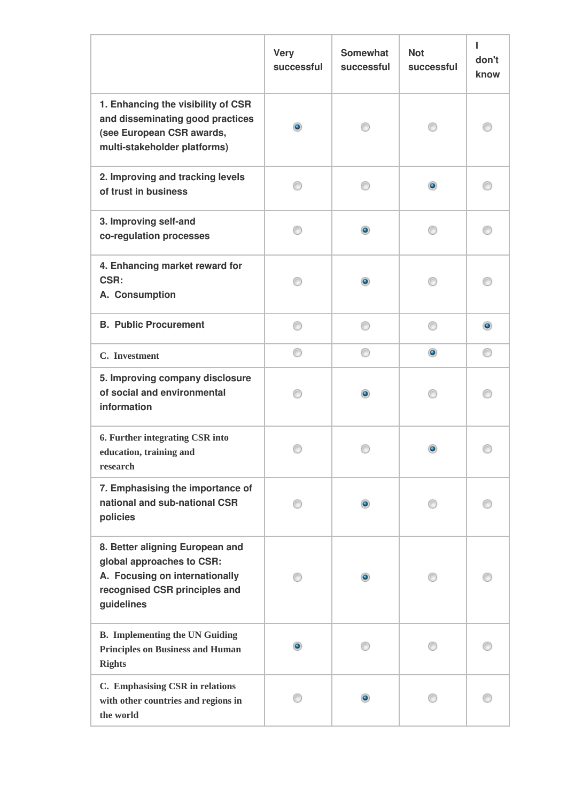|                                                                                                                                               | <b>Very</b><br>successful | <b>Somewhat</b><br>successful | <b>Not</b><br>successful | п<br>don't<br>know |
|-----------------------------------------------------------------------------------------------------------------------------------------------|---------------------------|-------------------------------|--------------------------|--------------------|
| 1. Enhancing the visibility of CSR<br>and disseminating good practices<br>(see European CSR awards,<br>multi-stakeholder platforms)           | $\bullet$                 |                               |                          |                    |
| 2. Improving and tracking levels<br>of trust in business                                                                                      |                           |                               | $\bullet$                |                    |
| 3. Improving self-and<br>co-regulation processes                                                                                              |                           | $\bullet$                     |                          |                    |
| 4. Enhancing market reward for<br>CSR:<br>A. Consumption                                                                                      |                           | $\bullet$                     |                          |                    |
| <b>B. Public Procurement</b>                                                                                                                  | ∩                         | ∩                             | ∩                        | $\bullet$          |
| C. Investment                                                                                                                                 | ⊙                         | ⊙                             | $\bullet$                | œ                  |
| 5. Improving company disclosure<br>of social and environmental<br>information                                                                 |                           | $\bullet$                     |                          |                    |
| 6. Further integrating CSR into<br>education, training and<br>research                                                                        |                           |                               |                          |                    |
| 7. Emphasising the importance of<br>national and sub-national CSR<br>policies                                                                 |                           | $\bullet$                     |                          |                    |
| 8. Better aligning European and<br>global approaches to CSR:<br>A. Focusing on internationally<br>recognised CSR principles and<br>guidelines |                           | $\bullet$                     |                          |                    |
| <b>B.</b> Implementing the UN Guiding<br><b>Principles on Business and Human</b><br><b>Rights</b>                                             | $\bullet$                 |                               |                          |                    |
| C. Emphasising CSR in relations<br>with other countries and regions in<br>the world                                                           |                           | $\bullet$                     |                          |                    |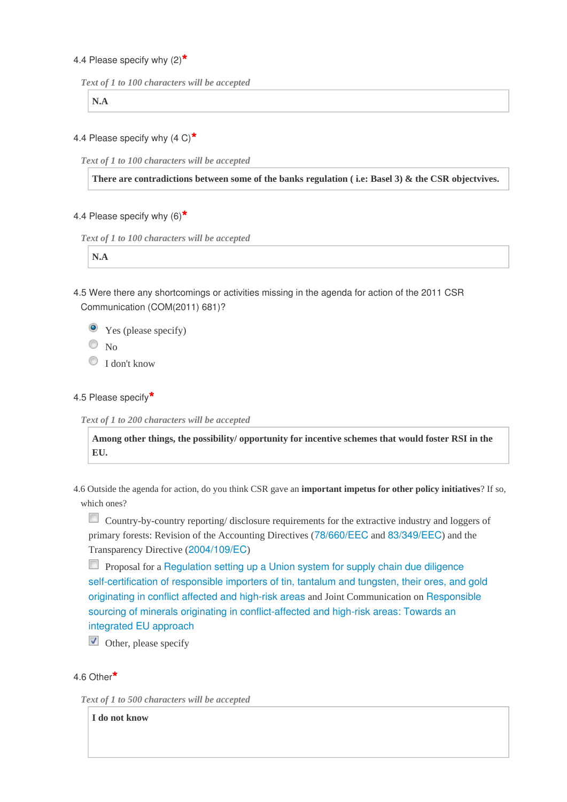### 4.4 Please specify why (2)**\***

```
Text of 1 to 100 characters will be accepted
```
**N.A**

4.4 Please specify why (4 C)**\***

*Text of 1 to 100 characters will be accepted* 

**There are contradictions between some of the banks regulation ( i.e: Basel 3) & the CSR objectvives.**

### 4.4 Please specify why (6)**\***

*Text of 1 to 100 characters will be accepted* 

**N.A**

4.5 Were there any shortcomings or activities missing in the agenda for action of the 2011 CSR Communication (COM(2011) 681)?

Yes (please specify)

 $\circ$  No

<sup>O</sup> I don't know

#### 4.5 Please specify**\***

*Text of 1 to 200 characters will be accepted* 

**Among other things, the possibility/ opportunity for incentive schemes that would foster RSI in the EU.**

4.6 Outside the agenda for action, do you think CSR gave an **important impetus for other policy initiatives**? If so, which ones?

Country-by-country reporting/ disclosure requirements for the extractive industry and loggers of primary forests: Revision of the Accounting Directives ([78/660/EEC](http://eur-lex.europa.eu/LexUriServ/LexUriServ.do?uri=CELEX:31978L0660:EN:NOT) and [83/349/EEC](http://eur-lex.europa.eu/LexUriServ/LexUriServ.do?uri=CELEX:31983L0349:en:HTML)) and the Transparency Directive ([2004/109/EC](http://eur-lex.europa.eu/legal-content/EN/TXT/HTML/?uri=CELEX:32004L0109&rid=4))

**Proposal for a [Regulation setting up a Union system for supply chain due diligence](http://trade.ec.europa.eu/doclib/docs/2014/march/tradoc_152227.pdf)** [self-certification of responsible importers of tin, tantalum and tungsten, their ores, and gold](http://trade.ec.europa.eu/doclib/docs/2014/march/tradoc_152227.pdf) [originating in conflict affected and high-risk areas](http://trade.ec.europa.eu/doclib/docs/2014/march/tradoc_152227.pdf) and Joint Communication on [Responsible](http://trade.ec.europa.eu/doclib/docs/2014/march/tradoc_152228.pdf) [sourcing of minerals originating in conflict-affected and high-risk areas: Towards an](http://trade.ec.europa.eu/doclib/docs/2014/march/tradoc_152228.pdf) [integrated EU approach](http://trade.ec.europa.eu/doclib/docs/2014/march/tradoc_152228.pdf)

 $\blacksquare$  Other, please specify

### 4.6 Other**\***

*Text of 1 to 500 characters will be accepted* 

**I do not know**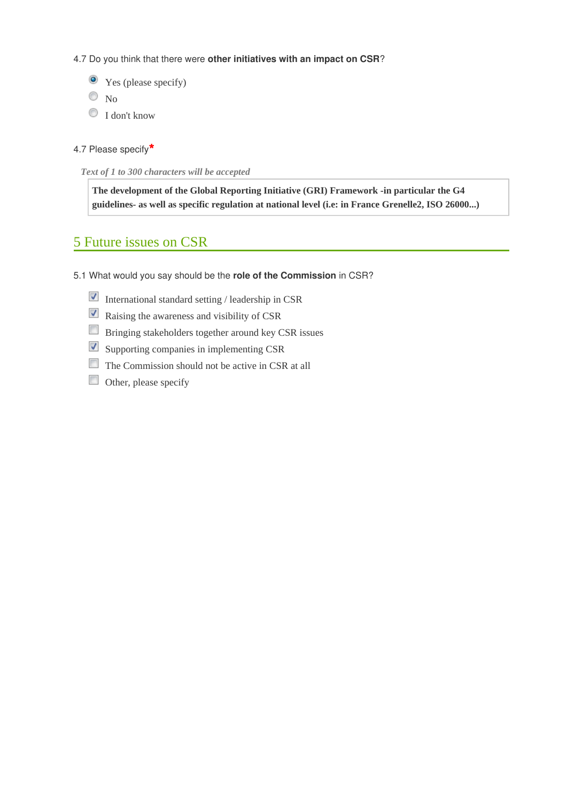4.7 Do you think that there were **other initiatives with an impact on CSR**?

Yes (please specify)  $\circ$  No I don't know

```
4.7 Please specify*
```
*Text of 1 to 300 characters will be accepted* 

**The development of the Global Reporting Initiative (GRI) Framework -in particular the G4 guidelines- as well as specific regulation at national level (i.e: in France Grenelle2, ISO 26000...)**

# 5 Future issues on CSR

- 5.1 What would you say should be the **role of the Commission** in CSR?
	- International standard setting / leadership in  $CSR$
	- Raising the awareness and visibility of CSR
	- Bringing stakeholders together around key CSR issues
	- $\blacksquare$  Supporting companies in implementing CSR
	- The Commission should not be active in CSR at all
	- $\Box$  Other, please specify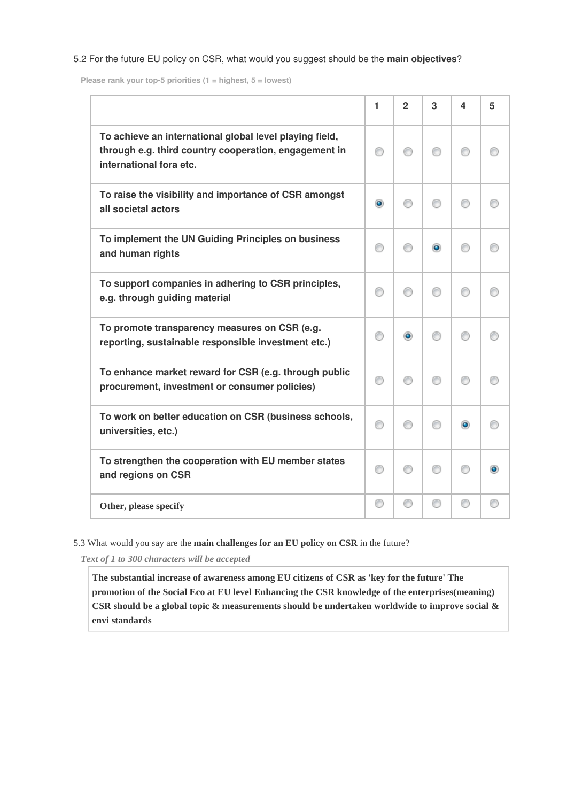#### 5.2 For the future EU policy on CSR, what would you suggest should be the **main objectives**?

**Please rank your top-5 priorities (1 = highest, 5 = lowest)**

|                                                                                                                                             | 1         | $\mathbf{2}$ | 3         | 4         | 5 |
|---------------------------------------------------------------------------------------------------------------------------------------------|-----------|--------------|-----------|-----------|---|
| To achieve an international global level playing field,<br>through e.g. third country cooperation, engagement in<br>international fora etc. | ⊙         | ∩            | ∩         | ⋒         |   |
| To raise the visibility and importance of CSR amongst<br>all societal actors                                                                | $\bullet$ | ∩            | ∩         | ⋒         |   |
| To implement the UN Guiding Principles on business<br>and human rights                                                                      | ⋒         |              | $\bullet$ |           |   |
| To support companies in adhering to CSR principles,<br>e.g. through guiding material                                                        | ⊙         | ⋒            | ∩         | ⋒         |   |
| To promote transparency measures on CSR (e.g.<br>reporting, sustainable responsible investment etc.)                                        | 60        | ۰            | ∩         |           |   |
| To enhance market reward for CSR (e.g. through public<br>procurement, investment or consumer policies)                                      | ∩         | ∩            | ∩         | ⋒         |   |
| To work on better education on CSR (business schools,<br>universities, etc.)                                                                |           |              | ⋒         | $\bullet$ |   |
| To strengthen the cooperation with EU member states<br>and regions on CSR                                                                   | ⊙         | ∩            | ∩         | ⋒         |   |
| Other, please specify                                                                                                                       | 0         | ⊙            | ⊙         |           |   |

5.3 What would you say are the **main challenges for an EU policy on CSR** in the future?

*Text of 1 to 300 characters will be accepted* 

**The substantial increase of awareness among EU citizens of CSR as 'key for the future' The promotion of the Social Eco at EU level Enhancing the CSR knowledge of the enterprises(meaning) CSR should be a global topic & measurements should be undertaken worldwide to improve social & envi standards**